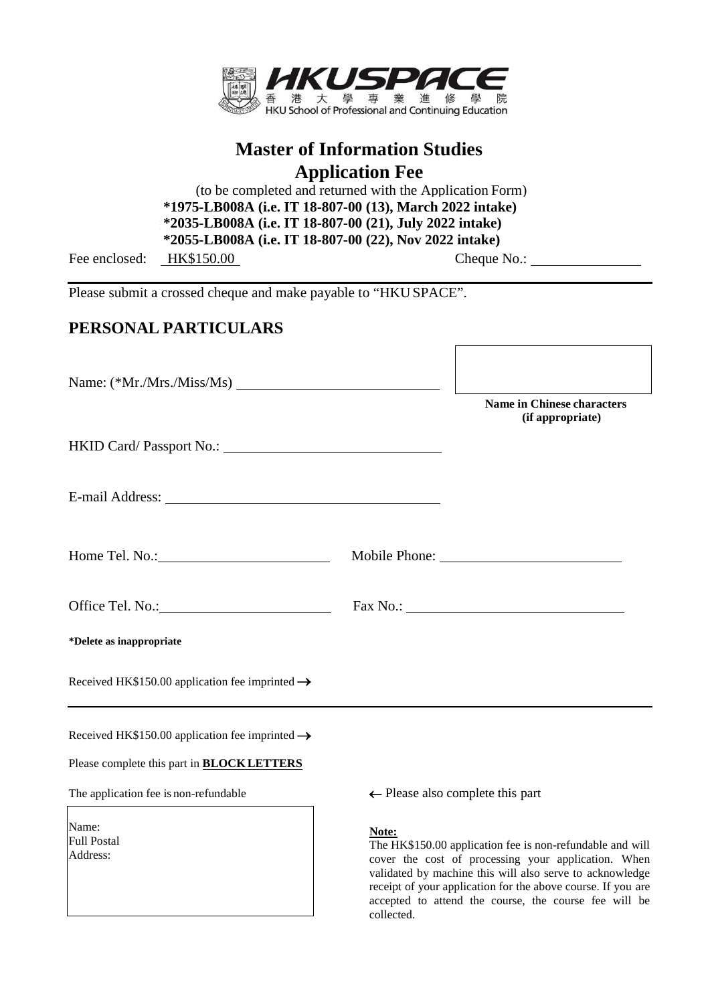

# **Master of Information Studies Application Fee**

(to be completed and returned with the Application Form) **1555-LB008A (i.e. IT 18-807-00 (72), November 2017 intake) \*2035-LB008A (i.e. IT 18-807-00 (21), July 2022 intake) \*1975-LB008A (i.e. IT 18-807-00 (13), March 2022 intake) \*2055-LB008A (i.e. IT 18-807-00 (22), Nov 2022 intake)**

Fee enclosed: HK\$150.00 Cheque No.:

Please submit a crossed cheque and make payable to "HKU SPACE".

## **PERSONAL PARTICULARS**

|                                                                                                                                                                                                                                | <b>Name in Chinese characters</b><br>(if appropriate)                                                                     |
|--------------------------------------------------------------------------------------------------------------------------------------------------------------------------------------------------------------------------------|---------------------------------------------------------------------------------------------------------------------------|
|                                                                                                                                                                                                                                |                                                                                                                           |
| E-mail Address: No. 1996. The Second Second Second Second Second Second Second Second Second Second Second Second Second Second Second Second Second Second Second Second Second Second Second Second Second Second Second Sec |                                                                                                                           |
|                                                                                                                                                                                                                                |                                                                                                                           |
|                                                                                                                                                                                                                                |                                                                                                                           |
| *Delete as inappropriate                                                                                                                                                                                                       |                                                                                                                           |
| Received HK\$150.00 application fee imprinted $\rightarrow$                                                                                                                                                                    |                                                                                                                           |
| Received HK\$150.00 application fee imprinted $\rightarrow$                                                                                                                                                                    |                                                                                                                           |
| Please complete this part in <b>BLOCK LETTERS</b>                                                                                                                                                                              |                                                                                                                           |
| The application fee is non-refundable                                                                                                                                                                                          | $\leftarrow$ Please also complete this part                                                                               |
| Name:<br>Full Postal<br>Address:                                                                                                                                                                                               | Note:<br>The HK\$150.00 application fee is non-refundable and will<br>cover the cost of processing your application. When |

The HK\$150.00 application fee is non-refundable and will cover the cost of processing your application. When validated by machine this will also serve to acknowledge receipt of your application for the above course. If you are accepted to attend the course, the course fee will be collected.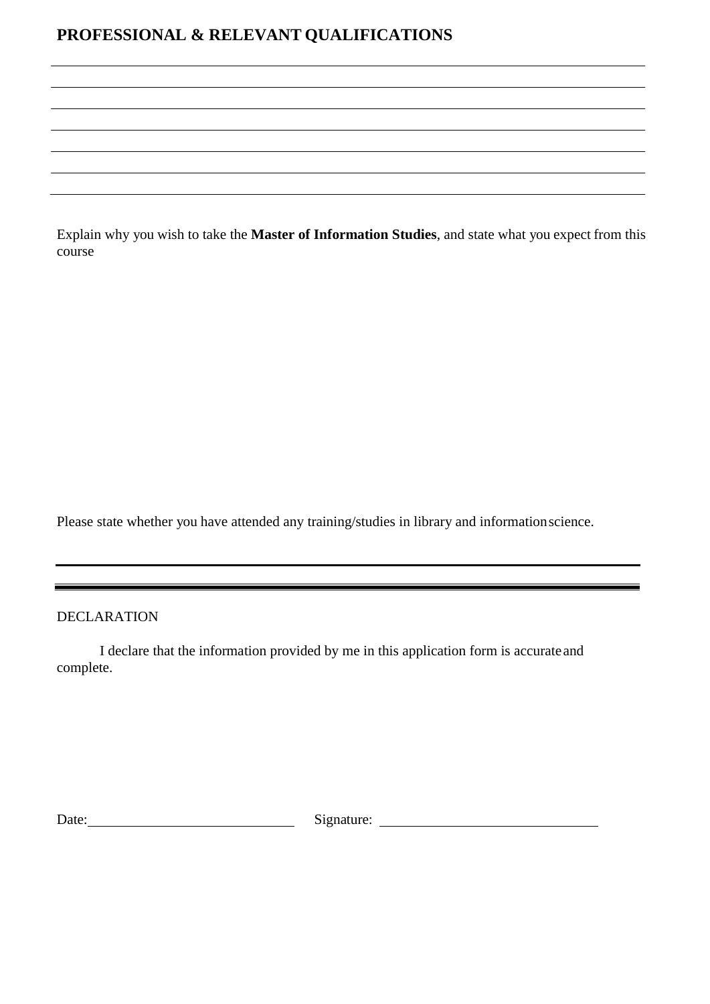## **PROFESSIONAL & RELEVANT QUALIFICATIONS**

Explain why you wish to take the **Master of Information Studies**, and state what you expect from this course

Please state whether you have attended any training/studies in library and informationscience.

DECLARATION

I declare that the information provided by me in this application form is accurateand complete.

Date: Signature: Signature: Signature: Signature: Signature: Signature: Signature: Signature: Signature: Signature: Signature: Signature: Signature: Signature: Signature: Signature: Signature: Signature: Signature: Signatu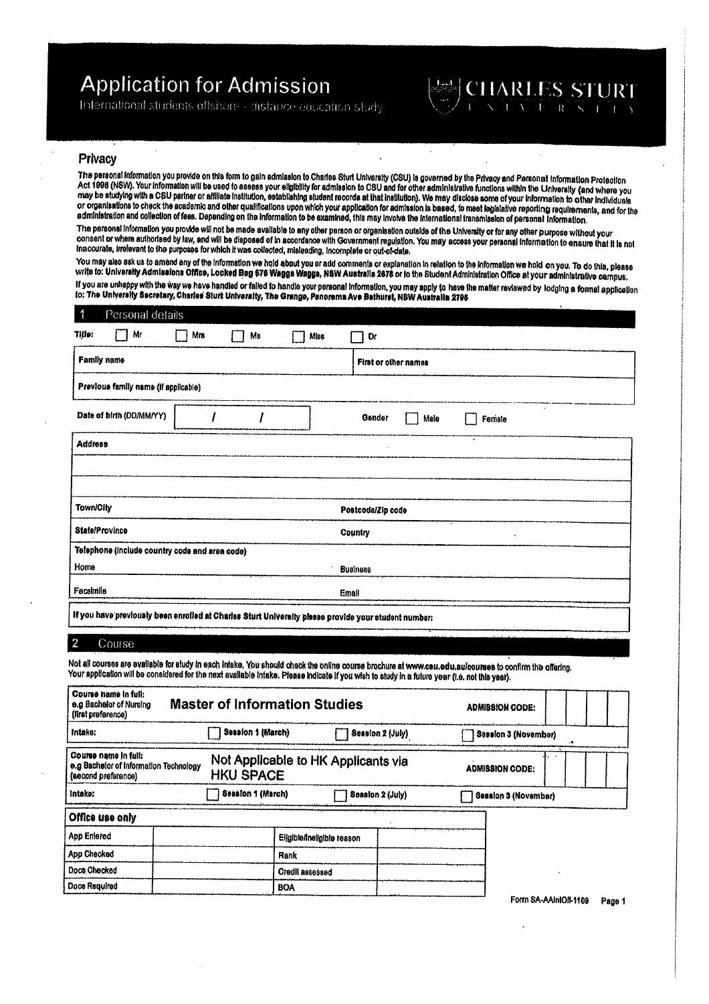# **Application for Admission**

International students offshore - distance equication study

# **HARLES STURT**

## Privacv

The personal information you provide on this form to gain admission to Charles Sturt University (CSU) is governed by the Privacy and Personal information Protection Act 1998 (NSW). Your information will be used to assess your eligibility for admission to CSU and for other administrative functions within the University (and where you may be studying with a CSU partner or affiliate institution, establishing student records at that institution). We may disclose some of your information to other includuals or organisations to check the academic and other qualifications upon which your application for admission is based, to meet legislative reporting requirements, and for the administration and collection of fees. Depending on the information to be examined, this may involve the international transmission of personal information.

 $\ddot{\phantom{1}}$ 

The personal information you provide will not be made available to any other person or organisation outside of the University or for any other purpose without your consent or where authorised by law, and will be disposed of in accordance with Government regulation. You may access your personal information to ensure that it is not Inaccurate, irrelevant to the purposes for which it was collected, misleading, incomplete or out-of-date.

You may also ask us to amend any of the information we hold about you or add comments or explanation in relation to the information we hold on you. To do this, please write to: University Admissions Office, Locked Bag 676 Wagga Wagga, NSW Australia 2678 or to the Student Administration Office at your administrative campus, If you are unhappy with the way we have handled or falled to handle your personal information, you may apply to have the matter reviewed by lodging a formal application to: The University Secretary, Charles Sturt University, The Grange, Panorama Ave Bathuret, NSW Australia 2795

| 1<br>Personal details                                                                                |     |    |      |                                                                                                           |  |
|------------------------------------------------------------------------------------------------------|-----|----|------|-----------------------------------------------------------------------------------------------------------|--|
| Title:<br>Mr                                                                                         | Mrs | Mв | Miss | Dr                                                                                                        |  |
| <b>Family name</b>                                                                                   |     |    |      | First or other names                                                                                      |  |
| Previous family name (if applicable)                                                                 |     |    |      |                                                                                                           |  |
| Date of birth (DD/MM/YY)                                                                             |     |    |      | at a temperature purchased on development and account<br>$\ddot{\phantom{a}}$<br>Gender<br>Male<br>Female |  |
| <b>Address</b>                                                                                       |     |    |      |                                                                                                           |  |
|                                                                                                      |     |    |      |                                                                                                           |  |
|                                                                                                      |     |    |      |                                                                                                           |  |
| <b>Town/City</b>                                                                                     |     |    |      | Postcode/Zip code                                                                                         |  |
| State/Province                                                                                       |     |    |      | Country<br>٠                                                                                              |  |
| Telephone (include country code and area code)                                                       |     |    |      |                                                                                                           |  |
| Home                                                                                                 |     |    |      | <b>Business</b>                                                                                           |  |
| Facsimile                                                                                            |     |    |      | Email                                                                                                     |  |
| If you have previously been enrolled at Charles Sturt University please provide your student number: |     |    |      |                                                                                                           |  |

#### Course  $\overline{2}$

Not all courses are available for study in each intake. You should check the online course brochure at www.csu.edu.au/courses to confirm the offering. Your application will be considered for the next available intake. Please indicate if you wish to study in a fulure year (i.e. not this year).

| Course name in full:<br>e.g Bachelor of Nureing<br>(first preference)                 | <b>Master of Information Studies</b> |                                     | <b>ADMISSION CODE:</b>      |  |
|---------------------------------------------------------------------------------------|--------------------------------------|-------------------------------------|-----------------------------|--|
| Session 1 (March)<br>Intake:                                                          |                                      | Session 2 (July)                    | <b>Session 3 (November)</b> |  |
| Course name in full:<br>e.g Bachelor of Information Technology<br>(second preference) | <b>HKU SPACE</b>                     | Not Applicable to HK Applicants via | <b>ADMISSION CODE:</b>      |  |
| Intake:                                                                               | Session 1 (March)                    | Session 2 (July)                    | Session 3 (November)        |  |
| Office use only                                                                       |                                      |                                     |                             |  |
| <b>App Enlered</b>                                                                    |                                      | Eligible/Ineligible reason          |                             |  |
| App Checked                                                                           |                                      | Rank                                |                             |  |
| Docs Checked                                                                          |                                      | <b>Credit assessed</b>              |                             |  |
| Docs Required                                                                         |                                      | <b>BOA</b>                          |                             |  |

Form SA-AAIntOff-1109 Page 1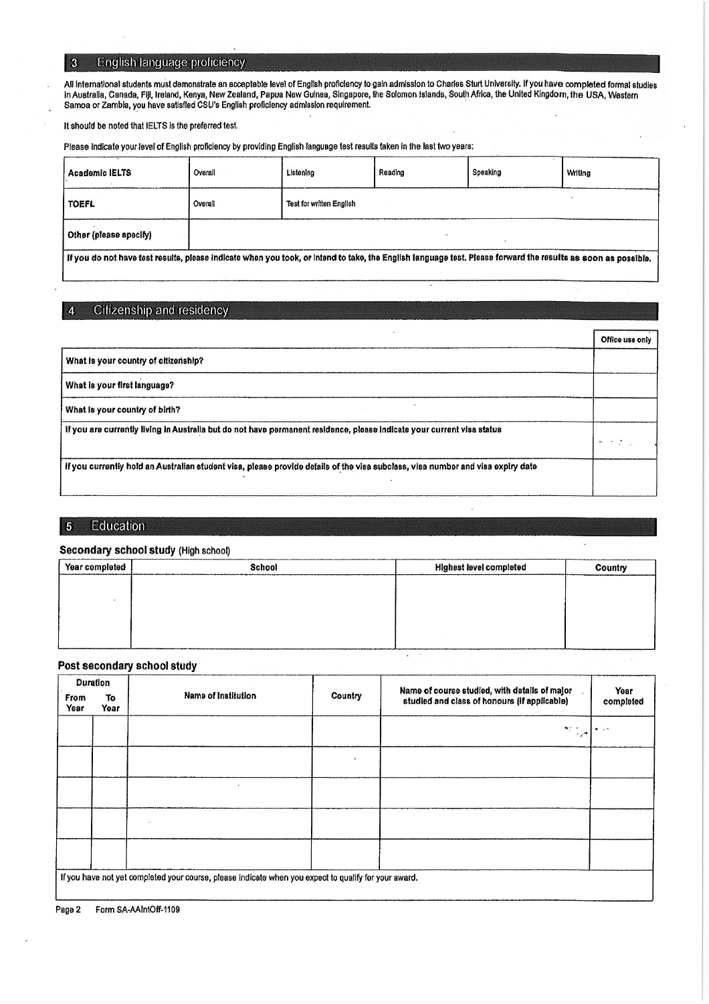#### English language proficiency  $\overline{\mathbf{3}}$

All international students must demonstrate an acceptable level of English proficiency to gain admission to Charles Sturt University. If you have completed formal studies in Australia, Canada, Fiji, Ireland, Kenya, New Zealand, Papua New Guinea, Singapore, the Solomon Islands, South Africa, the United Kingdom, the USA, Western<br>Samoa or Zambia, you have satisfied CSU's English proficiency ad

It should be noted that IELTS is the preferred test.

Please indicate your level of English proficiency by providing English language test results taken in the last two years:

| <b>Academic IELTS</b>                                                                                                                                         | Overall | Listening                       | Reading | Speaking | Writing |  |  |
|---------------------------------------------------------------------------------------------------------------------------------------------------------------|---------|---------------------------------|---------|----------|---------|--|--|
| <b>TOEFL</b>                                                                                                                                                  | Overall | <b>Test for written English</b> |         |          |         |  |  |
| Other (please specify)                                                                                                                                        |         |                                 |         |          |         |  |  |
| If you do not have test results, please indicate when you took, or intend to take, the English language test. Please forward the results as soon as possible. |         |                                 |         |          |         |  |  |

#### Citizenship and residency  $\overline{4}$

|                                                                                                                                 | Office use only |
|---------------------------------------------------------------------------------------------------------------------------------|-----------------|
| What is your country of citizenship?                                                                                            |                 |
| What is your first language?                                                                                                    |                 |
| What is your country of birth?                                                                                                  |                 |
| If you are currently living in Australia but do not have permanent residence, please indicate your current visa status          |                 |
| if you currently hold an Australian student visa, please provide details of the visa subclass, visa number and visa expiry date |                 |

#### Education  $\overline{\phantom{a}}$

### Secondary school study (High school)

| Year completed | School | <b>Highest level completed</b> | Country |
|----------------|--------|--------------------------------|---------|
|                |        |                                |         |
|                |        |                                |         |
|                |        |                                |         |
|                |        |                                |         |

 $\ddot{\phantom{a}}$ 

## Post secondary school study

|              | <b>Duration</b> |                                                                                                       | Name of course studied, with details of major . |                                              | Year      |
|--------------|-----------------|-------------------------------------------------------------------------------------------------------|-------------------------------------------------|----------------------------------------------|-----------|
| From<br>Year | To<br>Year      | <b>Name of Institution</b>                                                                            | Country                                         | studied and class of honours (if applicable) | completed |
|              |                 |                                                                                                       |                                                 | ×r ÷<br>$\cdot$ .                            |           |
|              |                 |                                                                                                       |                                                 |                                              |           |
|              |                 |                                                                                                       |                                                 |                                              |           |
|              |                 |                                                                                                       |                                                 |                                              |           |
|              |                 |                                                                                                       |                                                 |                                              |           |
|              |                 | If you have not yet completed your course, please indicate when you expect to qualify for your award. |                                                 |                                              |           |

Form SA-AAIntOff-1109 Page 2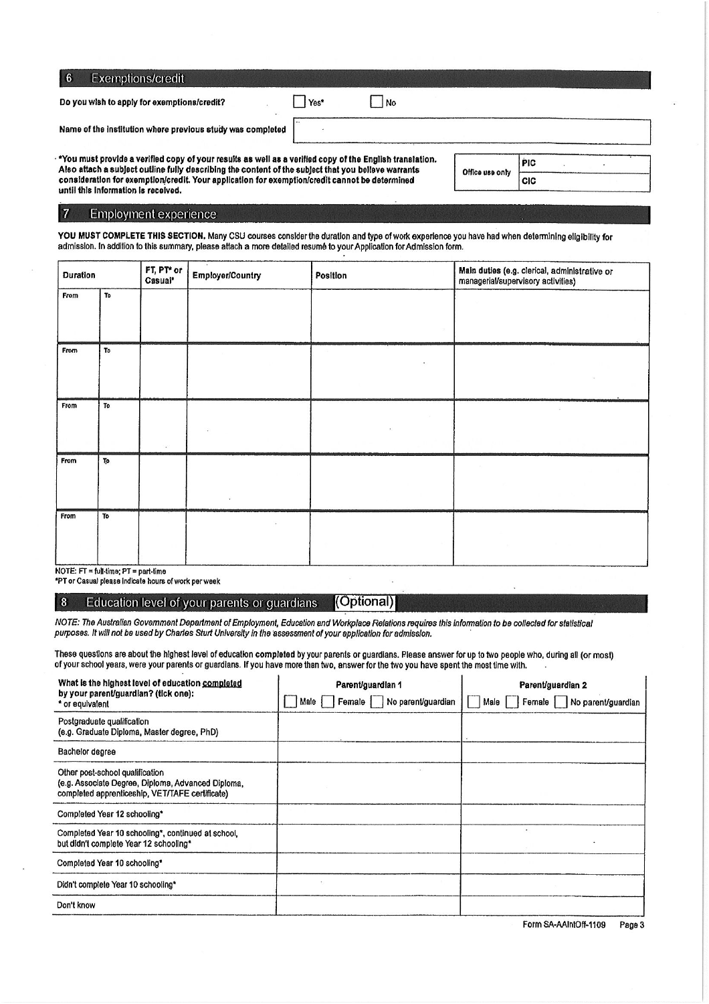| 6<br>Exemptions/credit                                                                                                                                                                                          |      |                 |            |            |
|-----------------------------------------------------------------------------------------------------------------------------------------------------------------------------------------------------------------|------|-----------------|------------|------------|
| Do you wish to apply for exemptions/credit?                                                                                                                                                                     | Yes* | No              |            |            |
| Name of the institution where previous study was completed                                                                                                                                                      |      |                 |            |            |
| "You must provide a verified copy of your results as well as a verified copy of the English translation.<br>Also attach a subject outline fully describing the content of the subject that you believe warrants |      |                 |            | <b>PIC</b> |
| consideration for exemption/credit. Your application for exemption/credit cannot be determined                                                                                                                  |      | Office use only | <b>CIC</b> |            |

 $\Delta$ consideration for exemption/credit. Your application for exemption/credit cannot be determined until this information is received.

## Employment experience

 $\overline{\phantom{a}}$ 

 $|7$ 

YOU MUST COMPLETE THIS SECTION. Many CSU courses consider the duration and type of work experience you have had when determining eligibility for<br>admission. In addition to this summary, please attach a more detailed resumé

| Duration |                                              | FT, PT* or<br>Casual* | <b>Employer/Country</b> | Position | Main duties (e.g. clerical, administrative or<br>managerial/supervisory activities) |  |  |  |
|----------|----------------------------------------------|-----------------------|-------------------------|----------|-------------------------------------------------------------------------------------|--|--|--|
| From     | To                                           |                       |                         |          |                                                                                     |  |  |  |
| From     | To                                           |                       |                         | ٠        |                                                                                     |  |  |  |
| From     | To                                           |                       |                         |          |                                                                                     |  |  |  |
| From     | To                                           |                       |                         |          |                                                                                     |  |  |  |
| From     | To<br>$NOTE: FT = full-time: PT = nart-time$ |                       |                         |          |                                                                                     |  |  |  |

\*PT or Casual please indicate hours of work per week

#### $8$ (Optional) Education level of your parents or guardians

NOTE: The Australian Government Department of Employment, Education and Workplace Relations requires this information to be collected for statistical purposes. It will not be used by Charles Sturt University in the assessment of your application for admission.

These questions are about the highest level of education completed by your parents or guardians. Please answer for up to two people who, during all (or most) of your school years, were your parents or guardians. If you have more than two, answer for the two you have spent the most time with.

| What is the highest level of education completed<br>by your parent/guardian? (tick one):                                                 | Parent/guardian 1                      | Parent/guardian 2                   |
|------------------------------------------------------------------------------------------------------------------------------------------|----------------------------------------|-------------------------------------|
| * or equivalent                                                                                                                          | No parent/guardian<br>Female I<br>Male | Female   No parent/guardian<br>Male |
| Postgraduate qualification<br>(e.g. Graduate Diploma, Master degree, PhD)                                                                |                                        |                                     |
| Bachelor degree                                                                                                                          |                                        |                                     |
| Other post-school qualification<br>(e.g. Associate Degree, Diploma, Advanced Diploma,<br>completed apprenticeship, VET/TAFE certificate) |                                        |                                     |
| Completed Year 12 schooling*                                                                                                             |                                        |                                     |
| Completed Year 10 schooling*, continued at school,<br>but didn't complete Year 12 schooling*                                             |                                        |                                     |
| Completed Year 10 schooling*                                                                                                             |                                        |                                     |
| Didn't complete Year 10 schooling*                                                                                                       |                                        |                                     |
| Don't know                                                                                                                               |                                        |                                     |

Form SA-AAIntOff-1109 Page 3